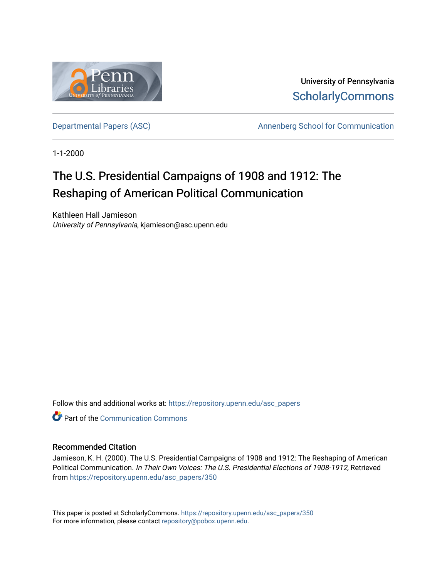

University of Pennsylvania **ScholarlyCommons** 

[Departmental Papers \(ASC\)](https://repository.upenn.edu/asc_papers) and a new Annenberg School for Communication

1-1-2000

## The U.S. Presidential Campaigns of 1908 and 1912: The Reshaping of American Political Communication

Kathleen Hall Jamieson University of Pennsylvania, kjamieson@asc.upenn.edu

Follow this and additional works at: [https://repository.upenn.edu/asc\\_papers](https://repository.upenn.edu/asc_papers?utm_source=repository.upenn.edu%2Fasc_papers%2F350&utm_medium=PDF&utm_campaign=PDFCoverPages)

**C** Part of the Communication Commons

#### Recommended Citation

Jamieson, K. H. (2000). The U.S. Presidential Campaigns of 1908 and 1912: The Reshaping of American Political Communication. In Their Own Voices: The U.S. Presidential Elections of 1908-1912, Retrieved from [https://repository.upenn.edu/asc\\_papers/350](https://repository.upenn.edu/asc_papers/350?utm_source=repository.upenn.edu%2Fasc_papers%2F350&utm_medium=PDF&utm_campaign=PDFCoverPages)

This paper is posted at ScholarlyCommons. [https://repository.upenn.edu/asc\\_papers/350](https://repository.upenn.edu/asc_papers/350)  For more information, please contact [repository@pobox.upenn.edu.](mailto:repository@pobox.upenn.edu)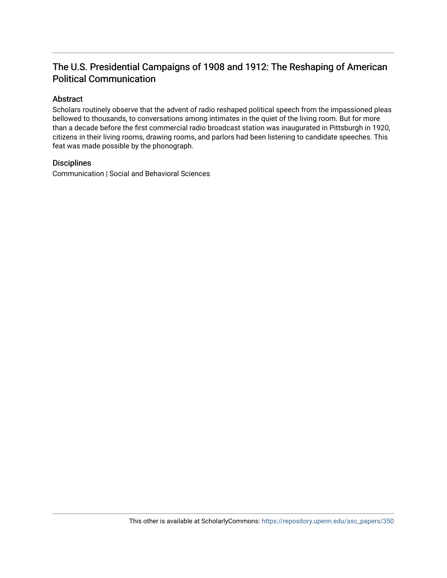### The U.S. Presidential Campaigns of 1908 and 1912: The Reshaping of American Political Communication

#### Abstract

Scholars routinely observe that the advent of radio reshaped political speech from the impassioned pleas bellowed to thousands, to conversations among intimates in the quiet of the living room. But for more than a decade before the first commercial radio broadcast station was inaugurated in Pittsburgh in 1920, citizens in their living rooms, drawing rooms, and parlors had been listening to candidate speeches. This feat was made possible by the phonograph.

#### **Disciplines**

Communication | Social and Behavioral Sciences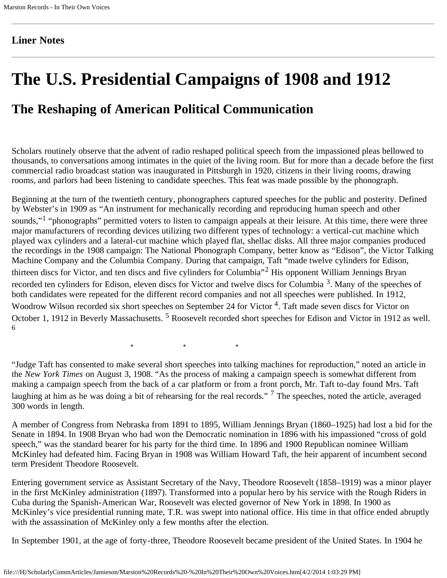#### **Liner Notes**

# **The U.S. Presidential Campaigns of 1908 and 1912**

## **The Reshaping of American Political Communication**

Scholars routinely observe that the advent of radio reshaped political speech from the impassioned pleas bellowed to thousands, to conversations among intimates in the quiet of the living room. But for more than a decade before the first commercial radio broadcast station was inaugurated in Pittsburgh in 1920, citizens in their living rooms, drawing rooms, and parlors had been listening to candidate speeches. This feat was made possible by the phonograph.

Beginning at the turn of the twentieth century, phonographers captured speeches for the public and posterity. Defined by Webster's in 1909 as "An instrument for mechanically recording and reproducing human speech and other sounds,"<sup>1</sup> "phonographs" permitted voters to listen to campaign appeals at their leisure. At this time, there were three major manufacturers of recording devices utilizing two different types of technology: a vertical-cut machine which played wax cylinders and a lateral-cut machine which played flat, shellac disks. All three major companies produced the recordings in the 1908 campaign: The National Phonograph Company, better know as "Edison", the Victor Talking Machine Company and the Columbia Company. During that campaign, Taft "made twelve cylinders for Edison, thirteen discs for Victor, and ten discs and five cylinders for Columbia"2 His opponent William Jennings Bryan recorded ten cylinders for Edison, eleven discs for Victor and twelve discs for Columbia 3. Many of the speeches of both candidates were repeated for the different record companies and not all speeches were published. In 1912, Woodrow Wilson recorded six short speeches on September 24 for Victor <sup>4</sup>. Taft made seven discs for Victor on October 1, 1912 in Beverly Massachusetts.<sup>5</sup> Roosevelt recorded short speeches for Edison and Victor in 1912 as well. 6

 $\begin{array}{cccccccccccccc} \star & \star & \star & \star & \star \end{array}$ 

"Judge Taft has consented to make several short speeches into talking machines for reproduction," noted an article in the *New York Times* on August 3, 1908. "As the process of making a campaign speech is somewhat different from making a campaign speech from the back of a car platform or from a front porch, Mr. Taft to-day found Mrs. Taft laughing at him as he was doing a bit of rehearsing for the real records."<sup>7</sup> The speeches, noted the article, averaged 300 words in length.

A member of Congress from Nebraska from 1891 to 1895, William Jennings Bryan (1860–1925) had lost a bid for the Senate in 1894. In 1908 Bryan who had won the Democratic nomination in 1896 with his impassioned "cross of gold speech," was the standard bearer for his party for the third time. In 1896 and 1900 Republican nominee William McKinley had defeated him. Facing Bryan in 1908 was William Howard Taft, the heir apparent of incumbent second term President Theodore Roosevelt.

Entering government service as Assistant Secretary of the Navy, Theodore Roosevelt (1858–1919) was a minor player in the first McKinley administration (1897). Transformed into a popular hero by his service with the Rough Riders in Cuba during the Spanish-American War, Roosevelt was elected governor of New York in 1898. In 1900 as McKinley's vice presidential running mate, T.R. was swept into national office. His time in that office ended abruptly with the assassination of McKinley only a few months after the election.

In September 1901, at the age of forty-three, Theodore Roosevelt became president of the United States. In 1904 he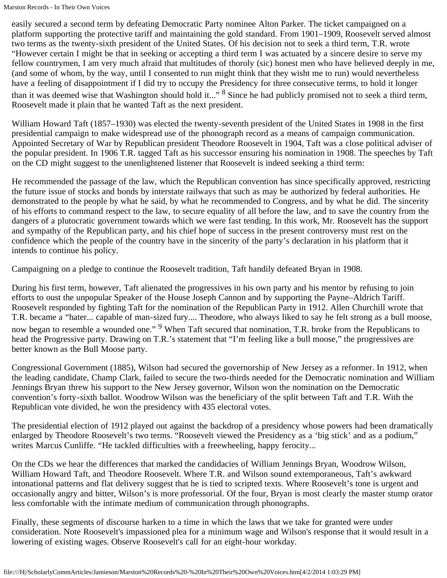easily secured a second term by defeating Democratic Party nominee Alton Parker. The ticket campaigned on a platform supporting the protective tariff and maintaining the gold standard. From 1901–1909, Roosevelt served almost two terms as the twenty-sixth president of the United States. Of his decision not to seek a third term, T.R. wrote "However certain I might be that in seeking or accepting a third term I was actuated by a sincere desire to serve my fellow countrymen, I am very much afraid that multitudes of thoroly (sic) honest men who have believed deeply in me, (and some of whom, by the way, until I consented to run might think that they wisht me to run) would nevertheless have a feeling of disappointment if I did try to occupy the Presidency for three consecutive terms, to hold it longer than it was deemed wise that Washington should hold it..." <sup>8</sup> Since he had publicly promised not to seek a third term, Roosevelt made it plain that he wanted Taft as the next president.

William Howard Taft (1857–1930) was elected the twenty-seventh president of the United States in 1908 in the first presidential campaign to make widespread use of the phonograph record as a means of campaign communication. Appointed Secretary of War by Republican president Theodore Roosevelt in 1904, Taft was a close political adviser of the popular president. In 1906 T.R. tagged Taft as his successor ensuring his nomination in 1908. The speeches by Taft on the CD might suggest to the unenlightened listener that Roosevelt is indeed seeking a third term:

He recommended the passage of the law, which the Republican convention has since specifically approved, restricting the future issue of stocks and bonds by interstate railways that such as may be authorized by federal authorities. He demonstrated to the people by what he said, by what he recommended to Congress, and by what he did. The sincerity of his efforts to command respect to the law, to secure equality of all before the law, and to save the country from the dangers of a plutocratic government towards which we were fast tending. In this work, Mr. Roosevelt has the support and sympathy of the Republican party, and his chief hope of success in the present controversy must rest on the confidence which the people of the country have in the sincerity of the party's declaration in his platform that it intends to continue his policy.

Campaigning on a pledge to continue the Roosevelt tradition, Taft handily defeated Bryan in 1908.

During his first term, however, Taft alienated the progressives in his own party and his mentor by refusing to join efforts to oust the unpopular Speaker of the House Joseph Cannon and by supporting the Payne–Aldrich Tariff. Roosevelt responded by fighting Taft for the nomination of the Republican Party in 1912. Allen Churchill wrote that T.R. became a "hater... capable of man-sized fury.... Theodore, who always liked to say he felt strong as a bull moose, now began to resemble a wounded one." <sup>9</sup> When Taft secured that nomination, T.R. broke from the Republicans to head the Progressive party. Drawing on T.R.'s statement that "I'm feeling like a bull moose," the progressives are better known as the Bull Moose party.

Congressional Government (1885), Wilson had secured the governorship of New Jersey as a reformer. In 1912, when the leading candidate, Champ Clark, failed to secure the two-thirds needed for the Democratic nomination and William Jennings Bryan threw his support to the New Jersey governor, Wilson won the nomination on the Democratic convention's forty-sixth ballot. Woodrow Wilson was the beneficiary of the split between Taft and T.R. With the Republican vote divided, he won the presidency with 435 electoral votes.

The presidential election of 1912 played out against the backdrop of a presidency whose powers had been dramatically enlarged by Theodore Roosevelt's two terms. "Roosevelt viewed the Presidency as a 'big stick' and as a podium," writes Marcus Cunliffe. "He tackled difficulties with a freewheeling, happy ferocity...

On the CDs we hear the differences that marked the candidacies of William Jennings Bryan, Woodrow Wilson, William Howard Taft, and Theodore Roosevelt. Where T.R. and Wilson sound extemporaneous, Taft's awkward intonational patterns and flat delivery suggest that he is tied to scripted texts. Where Roosevelt's tone is urgent and occasionally angry and bitter, Wilson's is more professorial. Of the four, Bryan is most clearly the master stump orator less comfortable with the intimate medium of communication through phonographs.

Finally, these segments of discourse harken to a time in which the laws that we take for granted were under consideration. Note Roosevelt's impassioned plea for a minimum wage and Wilson's response that it would result in a lowering of existing wages. Observe Roosevelt's call for an eight-hour workday.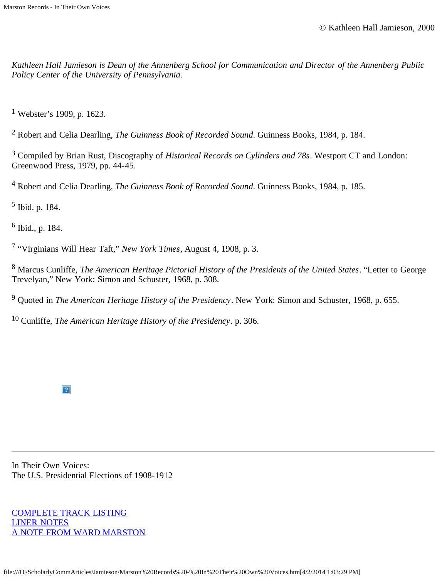*Kathleen Hall Jamieson is Dean of the Annenberg School for Communication and Director of the Annenberg Public Policy Center of the University of Pennsylvania.*

<sup>1</sup> Webster's 1909, p. 1623.

2 Robert and Celia Dearling, *The Guinness Book of Recorded Sound*. Guinness Books, 1984, p. 184.

3 Compiled by Brian Rust, Discography of *Historical Records on Cylinders and 78s*. Westport CT and London: Greenwood Press, 1979, pp. 44-45.

4 Robert and Celia Dearling, *The Guinness Book of Recorded Sound*. Guinness Books, 1984, p. 185.

5 Ibid. p. 184.

6 Ibid., p. 184.

7 "Virginians Will Hear Taft," *New York Times*, August 4, 1908, p. 3.

8 Marcus Cunliffe, *The American Heritage Pictorial History of the Presidents of the United States*. "Letter to George Trevelyan," New York: Simon and Schuster, 1968, p. 308.

9 Quoted in *The American Heritage History of the Presidency*. New York: Simon and Schuster, 1968, p. 655.

10 Cunliffe, *The American Heritage History of the Presidency*. p. 306.

 $\overline{?}$ 

In Their Own Voices: The U.S. Presidential Elections of 1908-1912

[COMPLETE TRACK LISTING](file:///H|/ScholarlyCommArticles/Jamieson/voices_tracks.htm) [LINER NOTES](file:///H|/ScholarlyCommArticles/Jamieson/voices_liner.htm) [A NOTE FROM WARD MARSTON](file:///H|/ScholarlyCommArticles/Jamieson/voices_ward.htm)